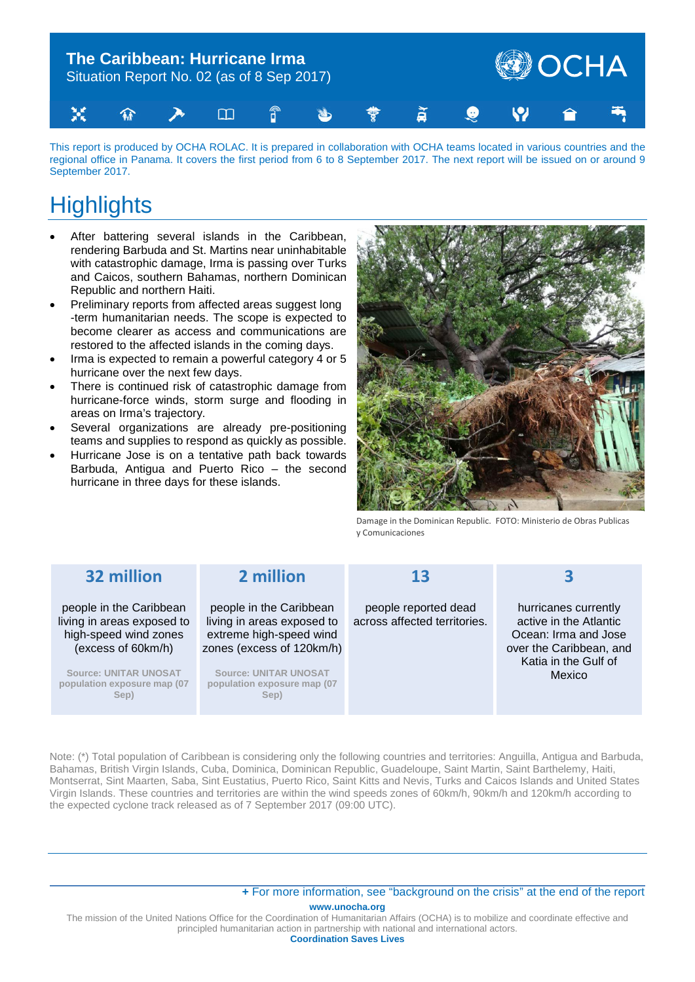

This report is produced by OCHA ROLAC. It is prepared in collaboration with OCHA teams located in various countries and the regional office in Panama. It covers the first period from 6 to 8 September 2017. The next report will be issued on or around 9 September 2017.

# **Highlights**

- After battering several islands in the Caribbean, rendering Barbuda and St. Martins near uninhabitable with catastrophic damage, Irma is passing over Turks and Caicos, southern Bahamas, northern Dominican Republic and northern Haiti.
- Preliminary reports from affected areas suggest long -term humanitarian needs. The scope is expected to become clearer as access and communications are restored to the affected islands in the coming days.
- Irma is expected to remain a powerful category 4 or 5 hurricane over the next few days.
- There is continued risk of catastrophic damage from hurricane-force winds, storm surge and flooding in areas on Irma's trajectory.
- Several organizations are already pre-positioning teams and supplies to respond as quickly as possible.
- Hurricane Jose is on a tentative path back towards Barbuda, Antigua and Puerto Rico – the second hurricane in three days for these islands.



Damage in the Dominican Republic. FOTO: Ministerio de Obras Publicas y Comunicaciones

| 32 million                                                                                           | 2 million                                                                                                     | 13                                                   |                                                                                                                                            |
|------------------------------------------------------------------------------------------------------|---------------------------------------------------------------------------------------------------------------|------------------------------------------------------|--------------------------------------------------------------------------------------------------------------------------------------------|
| people in the Caribbean<br>living in areas exposed to<br>high-speed wind zones<br>(excess of 60km/h) | people in the Caribbean<br>living in areas exposed to<br>extreme high-speed wind<br>zones (excess of 120km/h) | people reported dead<br>across affected territories. | hurricanes currently<br>active in the Atlantic<br>Ocean: Irma and Jose<br>over the Caribbean, and<br>Katia in the Gulf of<br><b>Mexico</b> |
| <b>Source: UNITAR UNOSAT</b><br>population exposure map (07<br>Sep)                                  | <b>Source: UNITAR UNOSAT</b><br>population exposure map (07<br>Sep)                                           |                                                      |                                                                                                                                            |

Note: (\*) Total population of Caribbean is considering only the following countries and territories: Anguilla, Antigua and Barbuda, Bahamas, British Virgin Islands, Cuba, Dominica, Dominican Republic, Guadeloupe, Saint Martin, Saint Barthelemy, Haiti, Montserrat, Sint Maarten, Saba, Sint Eustatius, Puerto Rico, Saint Kitts and Nevis, Turks and Caicos Islands and United States Virgin Islands. These countries and territories are within the wind speeds zones of 60km/h, 90km/h and 120km/h according to the expected cyclone track released as of 7 September 2017 (09:00 UTC).

#### **www.unocha.org +** [For more information, see "background on the crisis" at the end of the report](#page-7-0)

The mission of the United Nations Office for the Coordination of Humanitarian Affairs (OCHA) is to mobilize and coordinate effective and principled humanitarian action in partnership with national and international actors.

**Coordination Saves Lives**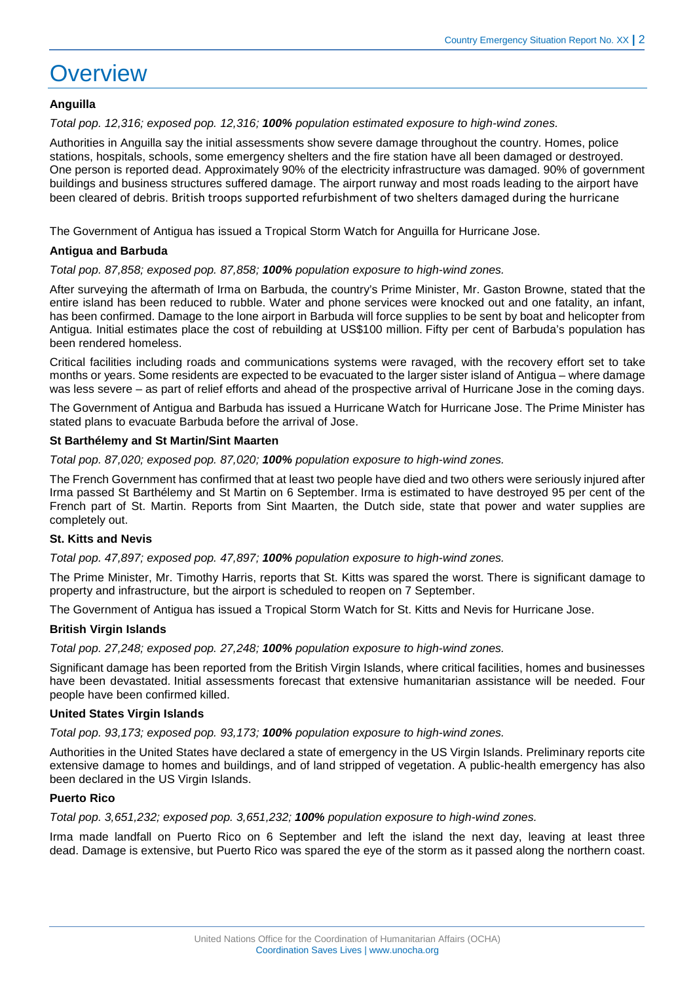### **Overview**

#### **Anguilla**

*Total pop. 12,316; exposed pop. 12,316; 100% population estimated exposure to high-wind zones.*

Authorities in Anguilla say the initial assessments show severe damage throughout the country. Homes, police stations, hospitals, schools, some emergency shelters and the fire station have all been damaged or destroyed. One person is reported dead. Approximately 90% of the electricity infrastructure was damaged. 90% of government buildings and business structures suffered damage. The airport runway and most roads leading to the airport have been cleared of debris. British troops supported refurbishment of two shelters damaged during the hurricane

The Government of Antigua has issued a Tropical Storm Watch for Anguilla for Hurricane Jose.

#### **Antigua and Barbuda**

*Total pop. 87,858; exposed pop. 87,858; 100% population exposure to high-wind zones.*

After surveying the aftermath of Irma on Barbuda, the country's Prime Minister, Mr. Gaston Browne, stated that the entire island has been reduced to rubble. Water and phone services were knocked out and one fatality, an infant, has been confirmed. Damage to the lone airport in Barbuda will force supplies to be sent by boat and helicopter from Antigua. Initial estimates place the cost of rebuilding at US\$100 million. Fifty per cent of Barbuda's population has been rendered homeless.

Critical facilities including roads and communications systems were ravaged, with the recovery effort set to take months or years. Some residents are expected to be evacuated to the larger sister island of Antigua – where damage was less severe – as part of relief efforts and ahead of the prospective arrival of Hurricane Jose in the coming days.

The Government of Antigua and Barbuda has issued a Hurricane Watch for Hurricane Jose. The Prime Minister has stated plans to evacuate Barbuda before the arrival of Jose.

#### **St Barthélemy and St Martin/Sint Maarten**

*Total pop. 87,020; exposed pop. 87,020; 100% population exposure to high-wind zones.*

The French Government has confirmed that at least two people have died and two others were seriously injured after Irma passed St Barthélemy and St Martin on 6 September. Irma is estimated to have destroyed 95 per cent of the French part of St. Martin. Reports from Sint Maarten, the Dutch side, state that power and water supplies are completely out.

#### **St. Kitts and Nevis**

*Total pop. 47,897; exposed pop. 47,897; 100% population exposure to high-wind zones.*

The Prime Minister, Mr. Timothy Harris, reports that St. Kitts was spared the worst. There is significant damage to property and infrastructure, but the airport is scheduled to reopen on 7 September.

The Government of Antigua has issued a Tropical Storm Watch for St. Kitts and Nevis for Hurricane Jose.

#### **British Virgin Islands**

*Total pop. 27,248; exposed pop. 27,248; 100% population exposure to high-wind zones.*

Significant damage has been reported from the British Virgin Islands, where critical facilities, homes and businesses have been devastated. Initial assessments forecast that extensive humanitarian assistance will be needed. Four people have been confirmed killed.

#### **United States Virgin Islands**

*Total pop. 93,173; exposed pop. 93,173; 100% population exposure to high-wind zones.*

Authorities in the United States have declared a state of emergency in the US Virgin Islands. Preliminary reports cite extensive damage to homes and buildings, and of land stripped of vegetation. A public-health emergency has also been declared in the US Virgin Islands.

#### **Puerto Rico**

*Total pop. 3,651,232; exposed pop. 3,651,232; 100% population exposure to high-wind zones.*

Irma made landfall on Puerto Rico on 6 September and left the island the next day, leaving at least three dead. Damage is extensive, but Puerto Rico was spared the eye of the storm as it passed along the northern coast.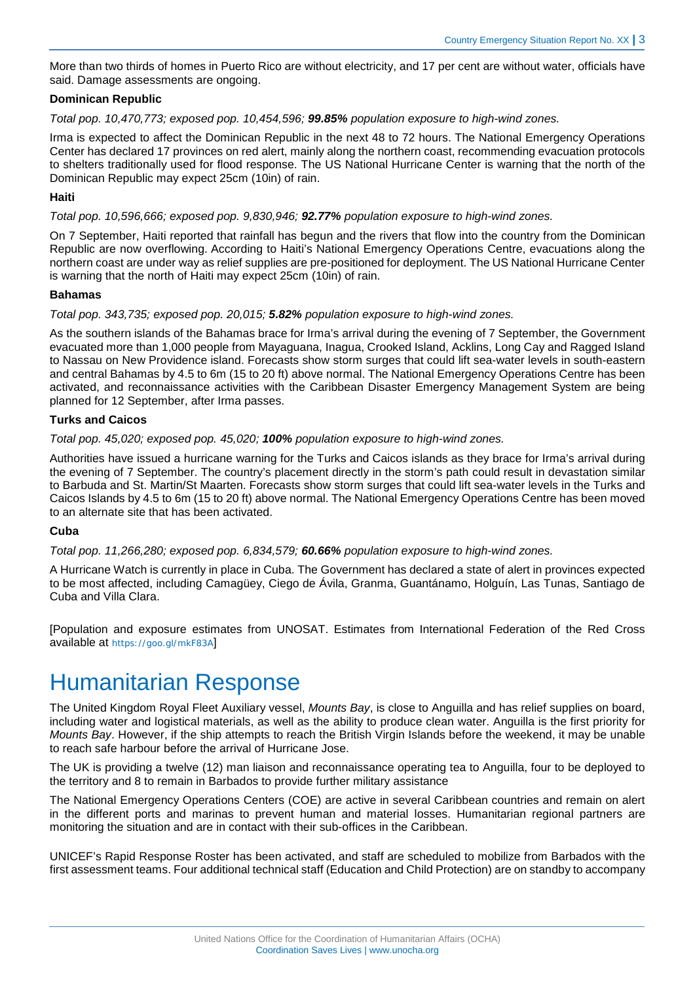More than two thirds of homes in Puerto Rico are without electricity, and 17 per cent are without water, officials have said. Damage assessments are ongoing.

#### **Dominican Republic**

*Total pop. 10,470,773; exposed pop. 10,454,596; 99.85% population exposure to high-wind zones.*

Irma is expected to affect the Dominican Republic in the next 48 to 72 hours. The National Emergency Operations Center has declared 17 provinces on red alert, mainly along the northern coast, recommending evacuation protocols to shelters traditionally used for flood response. The US National Hurricane Center is warning that the north of the Dominican Republic may expect 25cm (10in) of rain.

#### **Haiti**

*Total pop. 10,596,666; exposed pop. 9,830,946; 92.77% population exposure to high-wind zones.*

On 7 September, Haiti reported that rainfall has begun and the rivers that flow into the country from the Dominican Republic are now overflowing. According to Haiti's National Emergency Operations Centre, evacuations along the northern coast are under way as relief supplies are pre-positioned for deployment. The US National Hurricane Center is warning that the north of Haiti may expect 25cm (10in) of rain.

#### **Bahamas**

*Total pop. 343,735; exposed pop. 20,015; 5.82% population exposure to high-wind zones.*

As the southern islands of the Bahamas brace for Irma's arrival during the evening of 7 September, the Government evacuated more than 1,000 people from Mayaguana, Inagua, Crooked Island, Acklins, Long Cay and Ragged Island to Nassau on New Providence island. Forecasts show storm surges that could lift sea-water levels in south-eastern and central Bahamas by 4.5 to 6m (15 to 20 ft) above normal. The National Emergency Operations Centre has been activated, and reconnaissance activities with the Caribbean Disaster Emergency Management System are being planned for 12 September, after Irma passes.

#### **Turks and Caicos**

*Total pop. 45,020; exposed pop. 45,020; 100% population exposure to high-wind zones.*

Authorities have issued a hurricane warning for the Turks and Caicos islands as they brace for Irma's arrival during the evening of 7 September. The country's placement directly in the storm's path could result in devastation similar to Barbuda and St. Martin/St Maarten. Forecasts show storm surges that could lift sea-water levels in the Turks and Caicos Islands by 4.5 to 6m (15 to 20 ft) above normal. The National Emergency Operations Centre has been moved to an alternate site that has been activated.

#### **Cuba**

*Total pop. 11,266,280; exposed pop. 6,834,579; 60.66% population exposure to high-wind zones.*

A Hurricane Watch is currently in place in Cuba. The Government has declared a state of alert in provinces expected to be most affected, including Camagüey, Ciego de Ávila, Granma, Guantánamo, Holguín, Las Tunas, Santiago de Cuba and Villa Clara.

[Population and exposure estimates from UNOSAT. Estimates from International Federation of the Red Cross available at <https://goo.gl/mkF83A>]

### Humanitarian Response

The United Kingdom Royal Fleet Auxiliary vessel, *Mounts Bay*, is close to Anguilla and has relief supplies on board, including water and logistical materials, as well as the ability to produce clean water. Anguilla is the first priority for *Mounts Bay*. However, if the ship attempts to reach the British Virgin Islands before the weekend, it may be unable to reach safe harbour before the arrival of Hurricane Jose.

The UK is providing a twelve (12) man liaison and reconnaissance operating tea to Anguilla, four to be deployed to the territory and 8 to remain in Barbados to provide further military assistance

The National Emergency Operations Centers (COE) are active in several Caribbean countries and remain on alert in the different ports and marinas to prevent human and material losses. Humanitarian regional partners are monitoring the situation and are in contact with their sub-offices in the Caribbean.

UNICEF's Rapid Response Roster has been activated, and staff are scheduled to mobilize from Barbados with the first assessment teams. Four additional technical staff (Education and Child Protection) are on standby to accompany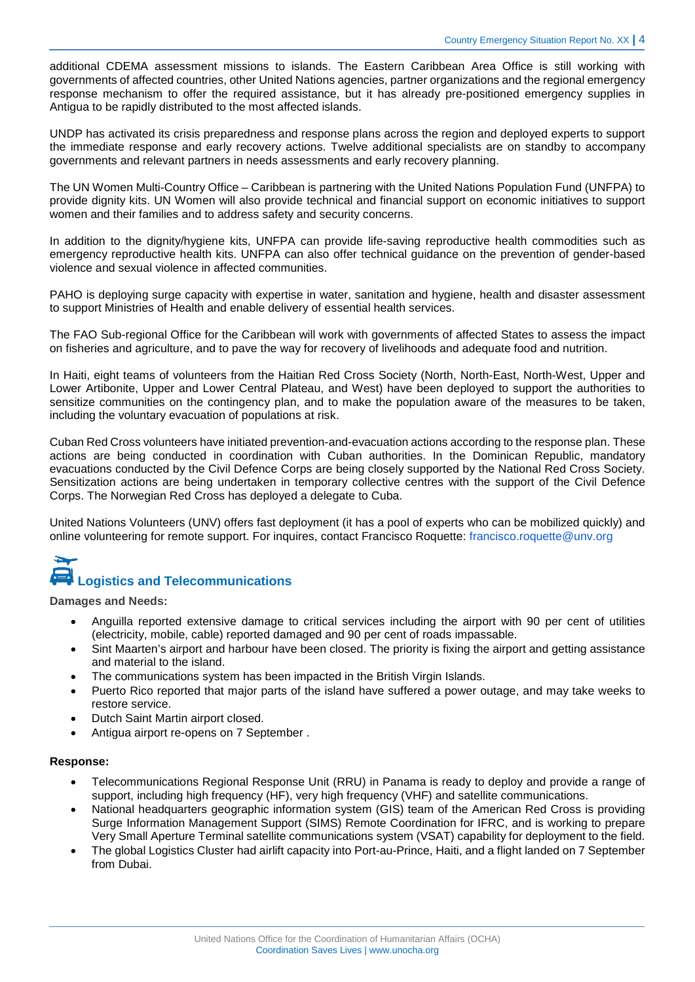additional CDEMA assessment missions to islands. The Eastern Caribbean Area Office is still working with governments of affected countries, other United Nations agencies, partner organizations and the regional emergency response mechanism to offer the required assistance, but it has already pre-positioned emergency supplies in Antigua to be rapidly distributed to the most affected islands.

UNDP has activated its crisis preparedness and response plans across the region and deployed experts to support the immediate response and early recovery actions. Twelve additional specialists are on standby to accompany governments and relevant partners in needs assessments and early recovery planning.

The UN Women Multi-Country Office – Caribbean is partnering with the United Nations Population Fund (UNFPA) to provide dignity kits. UN Women will also provide technical and financial support on economic initiatives to support women and their families and to address safety and security concerns.

In addition to the dignity/hygiene kits, UNFPA can provide life-saving reproductive health commodities such as emergency reproductive health kits. UNFPA can also offer technical guidance on the prevention of gender-based violence and sexual violence in affected communities.

PAHO is deploying surge capacity with expertise in water, sanitation and hygiene, health and disaster assessment to support Ministries of Health and enable delivery of essential health services.

The FAO Sub-regional Office for the Caribbean will work with governments of affected States to assess the impact on fisheries and agriculture, and to pave the way for recovery of livelihoods and adequate food and nutrition.

In Haiti, eight teams of volunteers from the Haitian Red Cross Society (North, North-East, North-West, Upper and Lower Artibonite, Upper and Lower Central Plateau, and West) have been deployed to support the authorities to sensitize communities on the contingency plan, and to make the population aware of the measures to be taken, including the voluntary evacuation of populations at risk.

Cuban Red Cross volunteers have initiated prevention-and-evacuation actions according to the response plan. These actions are being conducted in coordination with Cuban authorities. In the Dominican Republic, mandatory evacuations conducted by the Civil Defence Corps are being closely supported by the National Red Cross Society. Sensitization actions are being undertaken in temporary collective centres with the support of the Civil Defence Corps. The Norwegian Red Cross has deployed a delegate to Cuba.

United Nations Volunteers (UNV) offers fast deployment (it has a pool of experts who can be mobilized quickly) and online volunteering for remote support. For inquires, contact Francisco Roquette: [francisco.roquette@unv.org](mailto:francisco.roquette@unv.org)

# **Logistics and Telecommunications**

**Damages and Needs:** 

- Anguilla reported extensive damage to critical services including the airport with 90 per cent of utilities (electricity, mobile, cable) reported damaged and 90 per cent of roads impassable.
- Sint Maarten's airport and harbour have been closed. The priority is fixing the airport and getting assistance and material to the island.
- The communications system has been impacted in the British Virgin Islands.
- Puerto Rico reported that major parts of the island have suffered a power outage, and may take weeks to restore service.
- Dutch Saint Martin airport closed.
- Antigua airport re-opens on 7 September .

#### **Response:**

- Telecommunications Regional Response Unit (RRU) in Panama is ready to deploy and provide a range of support, including high frequency (HF), very high frequency (VHF) and satellite communications.
- National headquarters geographic information system (GIS) team of the American Red Cross is providing Surge Information Management Support (SIMS) Remote Coordination for IFRC, and is working to prepare Very Small Aperture Terminal satellite communications system (VSAT) capability for deployment to the field.
- The global Logistics Cluster had airlift capacity into Port-au-Prince, Haiti, and a flight landed on 7 September from Dubai.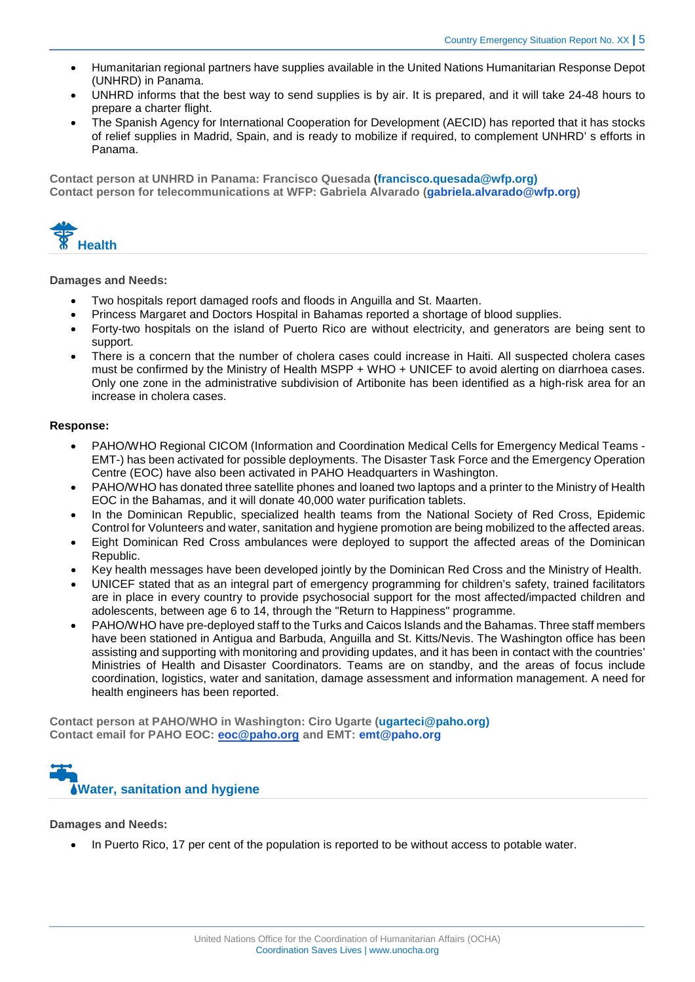- Humanitarian regional partners have supplies available in the United Nations Humanitarian Response Depot (UNHRD) in Panama.
- UNHRD informs that the best way to send supplies is by air. It is prepared, and it will take 24-48 hours to prepare a charter flight.
- The Spanish Agency for International Cooperation for Development (AECID) has reported that it has stocks of relief supplies in Madrid, Spain, and is ready to mobilize if required, to complement UNHRD' s efforts in Panama.

**Contact person at UNHRD in Panama: Francisco Quesada [\(francisco.quesada@wfp.org\)](mailto:francisco.quesada@wfp.org)) Contact person for telecommunications at WFP: Gabriela Alvarado [\(gabriela.alvarado@wfp.org\)](mailto:gabriela.alvarado@wfp.org)** 



#### **Damages and Needs:**

- Two hospitals report damaged roofs and floods in Anguilla and St. Maarten.
- Princess Margaret and Doctors Hospital in Bahamas reported a shortage of blood supplies.
- Forty-two hospitals on the island of Puerto Rico are without electricity, and generators are being sent to support.
- There is a concern that the number of cholera cases could increase in Haiti. All suspected cholera cases must be confirmed by the Ministry of Health MSPP + WHO + UNICEF to avoid alerting on diarrhoea cases. Only one zone in the administrative subdivision of Artibonite has been identified as a high-risk area for an increase in cholera cases.

#### **Response:**

- PAHO/WHO Regional CICOM (Information and Coordination Medical Cells for Emergency Medical Teams EMT-) has been activated for possible deployments. The Disaster Task Force and the Emergency Operation Centre (EOC) have also been activated in PAHO Headquarters in Washington.
- PAHO/WHO has donated three satellite phones and loaned two laptops and a printer to the Ministry of Health EOC in the Bahamas, and it will donate 40,000 water purification tablets.
- In the Dominican Republic, specialized health teams from the National Society of Red Cross, Epidemic Control for Volunteers and water, sanitation and hygiene promotion are being mobilized to the affected areas.
- Eight Dominican Red Cross ambulances were deployed to support the affected areas of the Dominican Republic.
- Key health messages have been developed jointly by the Dominican Red Cross and the Ministry of Health.
- UNICEF stated that as an integral part of emergency programming for children's safety, trained facilitators are in place in every country to provide psychosocial support for the most affected/impacted children and adolescents, between age 6 to 14, through the "Return to Happiness" programme.
- PAHO/WHO have pre-deployed staff to the Turks and Caicos Islands and the Bahamas. Three staff members have been stationed in Antigua and Barbuda, Anguilla and St. Kitts/Nevis. The Washington office has been assisting and supporting with monitoring and providing updates, and it has been in contact with the countries' Ministries of Health and Disaster Coordinators. Teams are on standby, and the areas of focus include coordination, logistics, water and sanitation, damage assessment and information management. A need for health engineers has been reported.

**Contact person at PAHO/WHO in Washington: Ciro Ugarte [\(ugarteci@paho.org\)](mailto:ugarteci@paho.org)) Contact email for PAHO EOC: eoc@paho.org and EMT: [emt@paho.org](mailto:emt@paho.org)**



**Damages and Needs:** 

• In Puerto Rico, 17 per cent of the population is reported to be without access to potable water.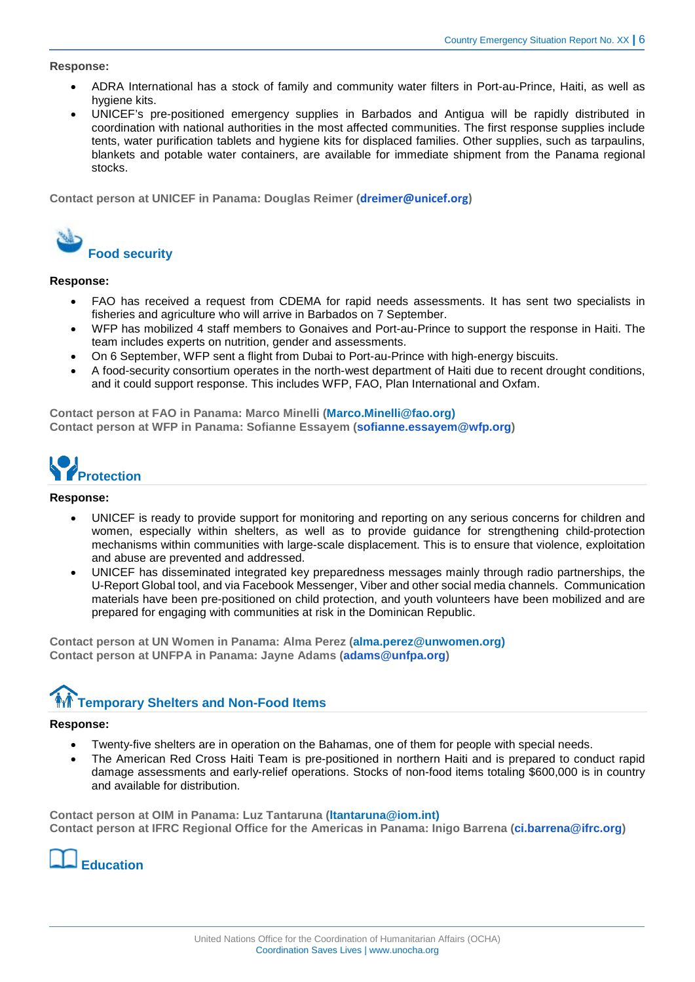#### **Response:**

- ADRA International has a stock of family and community water filters in Port-au-Prince, Haiti, as well as hygiene kits.
- UNICEF's pre-positioned emergency supplies in Barbados and Antigua will be rapidly distributed in coordination with national authorities in the most affected communities. The first response supplies include tents, water purification tablets and hygiene kits for displaced families. Other supplies, such as tarpaulins, blankets and potable water containers, are available for immediate shipment from the Panama regional stocks.

**Contact person at UNICEF in Panama: Douglas Reimer ([dreimer@unicef.org\)](mailto:dreimer@unicef.org)** 



#### **Response:**

- FAO has received a request from CDEMA for rapid needs assessments. It has sent two specialists in fisheries and agriculture who will arrive in Barbados on 7 September.
- WFP has mobilized 4 staff members to Gonaives and Port-au-Prince to support the response in Haiti. The team includes experts on nutrition, gender and assessments.
- On 6 September, WFP sent a flight from Dubai to Port-au-Prince with high-energy biscuits.
- A food-security consortium operates in the north-west department of Haiti due to recent drought conditions, and it could support response. This includes WFP, FAO, Plan International and Oxfam.

**Contact person at FAO in Panama: Marco Minelli [\(Marco.Minelli@fao.org\)](mailto:Marco.Minelli@fao.org)) Contact person at WFP in Panama: Sofianne Essayem [\(sofianne.essayem@wfp.org\)](mailto:sofianne.essayem@wfp.org)**



#### **Response:**

- UNICEF is ready to provide support for monitoring and reporting on any serious concerns for children and women, especially within shelters, as well as to provide guidance for strengthening child-protection mechanisms within communities with large-scale displacement. This is to ensure that violence, exploitation and abuse are prevented and addressed.
- UNICEF has disseminated integrated key preparedness messages mainly through radio partnerships, the U-Report Global tool, and via Facebook Messenger, Viber and other social media channels. Communication materials have been pre-positioned on child protection, and youth volunteers have been mobilized and are prepared for engaging with communities at risk in the Dominican Republic.

**Contact person at UN Women in Panama: Alma Perez [\(alma.perez@unwomen.org\)](mailto:alma.perez@unwomen.org)) Contact person at UNFPA in Panama: Jayne Adams [\(adams@unfpa.org\)](mailto:adams@unfpa.org)**

### **Temporary Shelters and Non-Food Items**

#### **Response:**

- Twenty-five shelters are in operation on the Bahamas, one of them for people with special needs.
- The American Red Cross Haiti Team is pre-positioned in northern Haiti and is prepared to conduct rapid damage assessments and early-relief operations. Stocks of non-food items totaling \$600,000 is in country and available for distribution.

**Contact person at OIM in Panama: Luz Tantaruna [\(ltantaruna@iom.int\)](mailto:ltantaruna@iom.int)) Contact person at IFRC Regional Office for the Americas in Panama: Inigo Barrena [\(ci.barrena@ifrc.org\)](mailto:ci.barrena@ifrc.org)** 

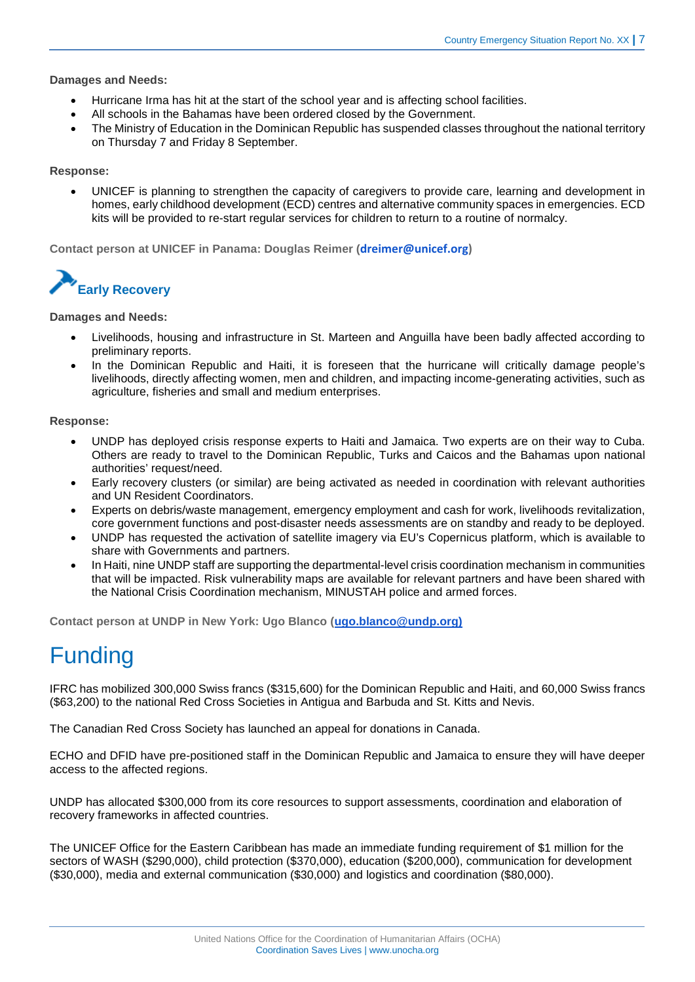#### **Damages and Needs:**

- Hurricane Irma has hit at the start of the school year and is affecting school facilities.
- All schools in the Bahamas have been ordered closed by the Government.
- The Ministry of Education in the Dominican Republic has suspended classes throughout the national territory on Thursday 7 and Friday 8 September.

#### **Response:**

• UNICEF is planning to strengthen the capacity of caregivers to provide care, learning and development in homes, early childhood development (ECD) centres and alternative community spaces in emergencies. ECD kits will be provided to re-start regular services for children to return to a routine of normalcy.

**Contact person at UNICEF in Panama: Douglas Reimer ([dreimer@unicef.org\)](mailto:dreimer@unicef.org)** 



#### **Damages and Needs:**

- Livelihoods, housing and infrastructure in St. Marteen and Anguilla have been badly affected according to preliminary reports.
- In the Dominican Republic and Haiti, it is foreseen that the hurricane will critically damage people's livelihoods, directly affecting women, men and children, and impacting income-generating activities, such as agriculture, fisheries and small and medium enterprises.

#### **Response:**

- UNDP has deployed crisis response experts to Haiti and Jamaica. Two experts are on their way to Cuba. Others are ready to travel to the Dominican Republic, Turks and Caicos and the Bahamas upon national authorities' request/need.
- Early recovery clusters (or similar) are being activated as needed in coordination with relevant authorities and UN Resident Coordinators.
- Experts on debris/waste management, emergency employment and cash for work, livelihoods revitalization, core government functions and post-disaster needs assessments are on standby and ready to be deployed.
- UNDP has requested the activation of satellite imagery via EU's Copernicus platform, which is available to share with Governments and partners.
- In Haiti, nine UNDP staff are supporting the departmental-level crisis coordination mechanism in communities that will be impacted. Risk vulnerability maps are available for relevant partners and have been shared with the National Crisis Coordination mechanism, MINUSTAH police and armed forces.

**Contact person at UNDP in New York: Ugo Blanco (ugo.blanco@undp.org)**

# Funding

IFRC has mobilized 300,000 Swiss francs (\$315,600) for the Dominican Republic and Haiti, and 60,000 Swiss francs (\$63,200) to the national Red Cross Societies in Antigua and Barbuda and St. Kitts and Nevis.

The Canadian Red Cross Society has launched an appeal for donations in Canada.

ECHO and DFID have pre-positioned staff in the Dominican Republic and Jamaica to ensure they will have deeper access to the affected regions.

UNDP has allocated \$300,000 from its core resources to support assessments, coordination and elaboration of recovery frameworks in affected countries.

The UNICEF Office for the Eastern Caribbean has made an immediate funding requirement of \$1 million for the sectors of WASH (\$290,000), child protection (\$370,000), education (\$200,000), communication for development (\$30,000), media and external communication (\$30,000) and logistics and coordination (\$80,000).